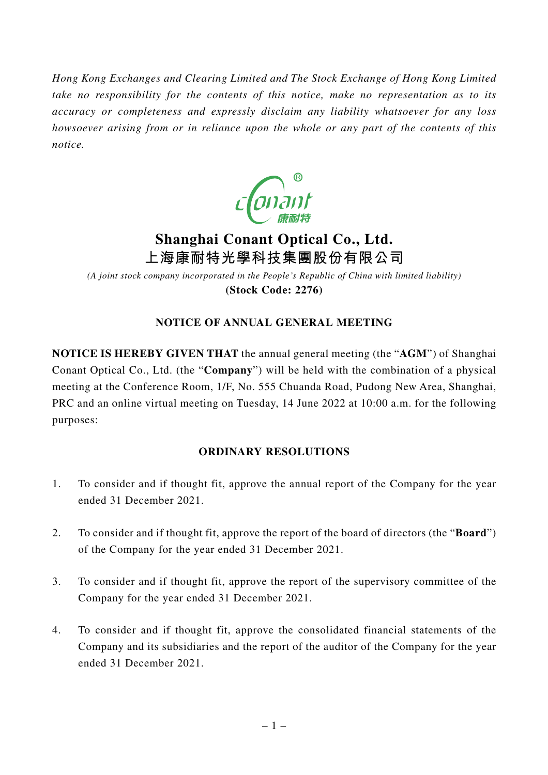*Hong Kong Exchanges and Clearing Limited and The Stock Exchange of Hong Kong Limited take no responsibility for the contents of this notice, make no representation as to its accuracy or completeness and expressly disclaim any liability whatsoever for any loss howsoever arising from or in reliance upon the whole or any part of the contents of this notice.*



# **Shanghai Conant Optical Co., Ltd. 上海康耐特光學科技集團股份有限公司**

*(A joint stock company incorporated in the People's Republic of China with limited liability)* **(Stock Code: 2276)**

## **NOTICE OF ANNUAL GENERAL MEETING**

**NOTICE IS HEREBY GIVEN THAT** the annual general meeting (the "**AGM**") of Shanghai Conant Optical Co., Ltd. (the "**Company**") will be held with the combination of a physical meeting at the Conference Room, 1/F, No. 555 Chuanda Road, Pudong New Area, Shanghai, PRC and an online virtual meeting on Tuesday, 14 June 2022 at 10:00 a.m. for the following purposes:

## **ORDINARY RESOLUTIONS**

- 1. To consider and if thought fit, approve the annual report of the Company for the year ended 31 December 2021.
- 2. To consider and if thought fit, approve the report of the board of directors (the "**Board**") of the Company for the year ended 31 December 2021.
- 3. To consider and if thought fit, approve the report of the supervisory committee of the Company for the year ended 31 December 2021.
- 4. To consider and if thought fit, approve the consolidated financial statements of the Company and its subsidiaries and the report of the auditor of the Company for the year ended 31 December 2021.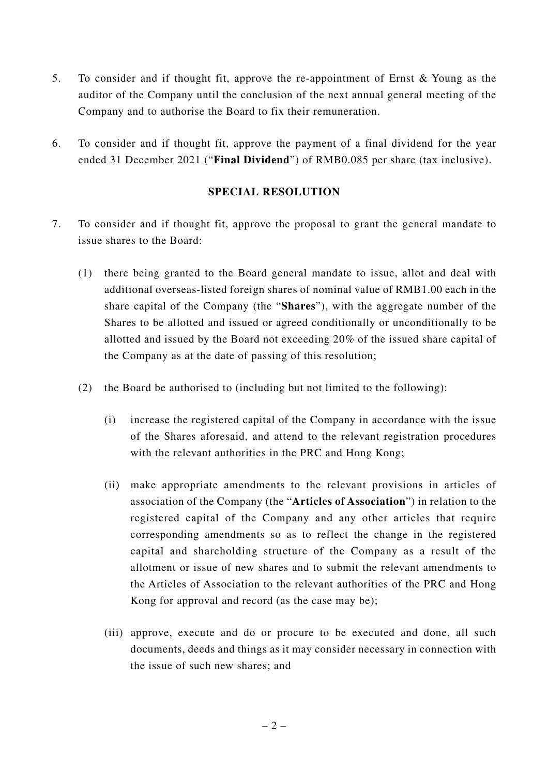- 5. To consider and if thought fit, approve the re-appointment of Ernst & Young as the auditor of the Company until the conclusion of the next annual general meeting of the Company and to authorise the Board to fix their remuneration.
- 6. To consider and if thought fit, approve the payment of a final dividend for the year ended 31 December 2021 ("**Final Dividend**") of RMB0.085 per share (tax inclusive).

#### **SPECIAL RESOLUTION**

- 7. To consider and if thought fit, approve the proposal to grant the general mandate to issue shares to the Board:
	- (1) there being granted to the Board general mandate to issue, allot and deal with additional overseas-listed foreign shares of nominal value of RMB1.00 each in the share capital of the Company (the "**Shares**"), with the aggregate number of the Shares to be allotted and issued or agreed conditionally or unconditionally to be allotted and issued by the Board not exceeding 20% of the issued share capital of the Company as at the date of passing of this resolution;
	- (2) the Board be authorised to (including but not limited to the following):
		- (i) increase the registered capital of the Company in accordance with the issue of the Shares aforesaid, and attend to the relevant registration procedures with the relevant authorities in the PRC and Hong Kong;
		- (ii) make appropriate amendments to the relevant provisions in articles of association of the Company (the "**Articles of Association**") in relation to the registered capital of the Company and any other articles that require corresponding amendments so as to reflect the change in the registered capital and shareholding structure of the Company as a result of the allotment or issue of new shares and to submit the relevant amendments to the Articles of Association to the relevant authorities of the PRC and Hong Kong for approval and record (as the case may be);
		- (iii) approve, execute and do or procure to be executed and done, all such documents, deeds and things as it may consider necessary in connection with the issue of such new shares; and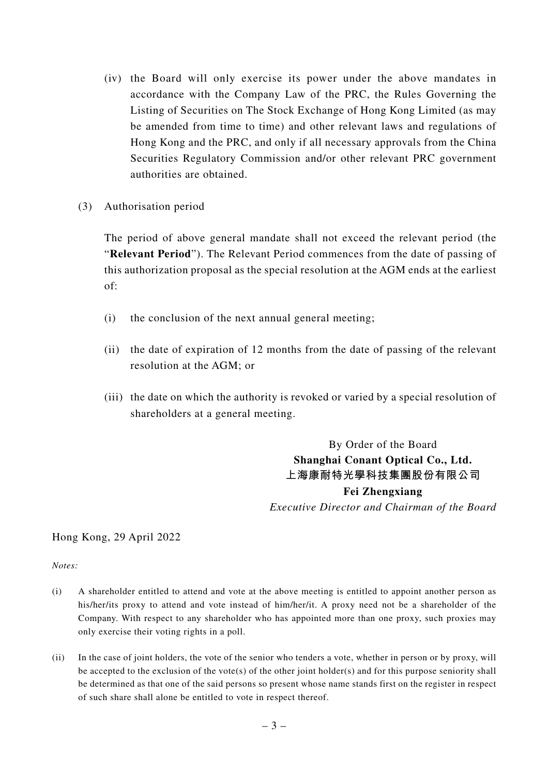- (iv) the Board will only exercise its power under the above mandates in accordance with the Company Law of the PRC, the Rules Governing the Listing of Securities on The Stock Exchange of Hong Kong Limited (as may be amended from time to time) and other relevant laws and regulations of Hong Kong and the PRC, and only if all necessary approvals from the China Securities Regulatory Commission and/or other relevant PRC government authorities are obtained.
- (3) Authorisation period

The period of above general mandate shall not exceed the relevant period (the "**Relevant Period**"). The Relevant Period commences from the date of passing of this authorization proposal as the special resolution at the AGM ends at the earliest of:

- (i) the conclusion of the next annual general meeting;
- (ii) the date of expiration of 12 months from the date of passing of the relevant resolution at the AGM; or
- (iii) the date on which the authority is revoked or varied by a special resolution of shareholders at a general meeting.

By Order of the Board **Shanghai Conant Optical Co., Ltd. 上海康耐特光學科技集團股份有限公司 Fei Zhengxiang** *Executive Director and Chairman of the Board*

#### Hong Kong, 29 April 2022

*Notes:*

- (i) A shareholder entitled to attend and vote at the above meeting is entitled to appoint another person as his/her/its proxy to attend and vote instead of him/her/it. A proxy need not be a shareholder of the Company. With respect to any shareholder who has appointed more than one proxy, such proxies may only exercise their voting rights in a poll.
- (ii) In the case of joint holders, the vote of the senior who tenders a vote, whether in person or by proxy, will be accepted to the exclusion of the vote(s) of the other joint holder(s) and for this purpose seniority shall be determined as that one of the said persons so present whose name stands first on the register in respect of such share shall alone be entitled to vote in respect thereof.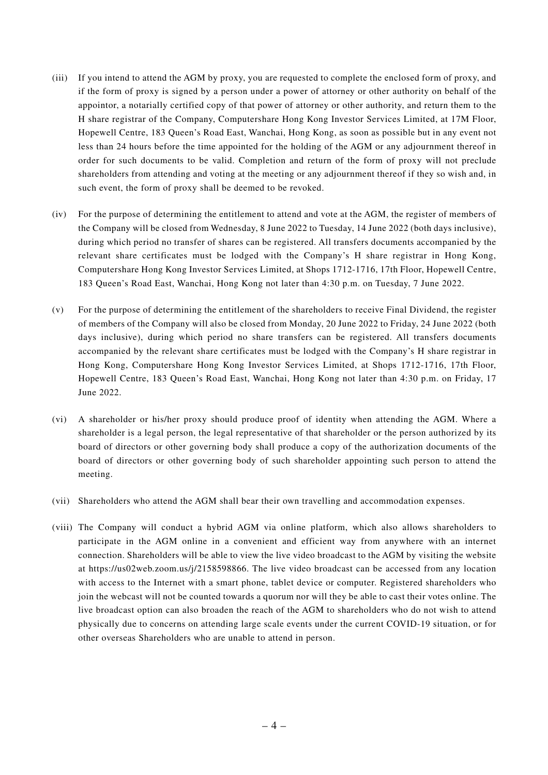- (iii) If you intend to attend the AGM by proxy, you are requested to complete the enclosed form of proxy, and if the form of proxy is signed by a person under a power of attorney or other authority on behalf of the appointor, a notarially certified copy of that power of attorney or other authority, and return them to the H share registrar of the Company, Computershare Hong Kong Investor Services Limited, at 17M Floor, Hopewell Centre, 183 Queen's Road East, Wanchai, Hong Kong, as soon as possible but in any event not less than 24 hours before the time appointed for the holding of the AGM or any adjournment thereof in order for such documents to be valid. Completion and return of the form of proxy will not preclude shareholders from attending and voting at the meeting or any adjournment thereof if they so wish and, in such event, the form of proxy shall be deemed to be revoked.
- (iv) For the purpose of determining the entitlement to attend and vote at the AGM, the register of members of the Company will be closed from Wednesday, 8 June 2022 to Tuesday, 14 June 2022 (both days inclusive), during which period no transfer of shares can be registered. All transfers documents accompanied by the relevant share certificates must be lodged with the Company's H share registrar in Hong Kong, Computershare Hong Kong Investor Services Limited, at Shops 1712-1716, 17th Floor, Hopewell Centre, 183 Queen's Road East, Wanchai, Hong Kong not later than 4:30 p.m. on Tuesday, 7 June 2022.
- (v) For the purpose of determining the entitlement of the shareholders to receive Final Dividend, the register of members of the Company will also be closed from Monday, 20 June 2022 to Friday, 24 June 2022 (both days inclusive), during which period no share transfers can be registered. All transfers documents accompanied by the relevant share certificates must be lodged with the Company's H share registrar in Hong Kong, Computershare Hong Kong Investor Services Limited, at Shops 1712-1716, 17th Floor, Hopewell Centre, 183 Queen's Road East, Wanchai, Hong Kong not later than 4:30 p.m. on Friday, 17 June 2022.
- (vi) A shareholder or his/her proxy should produce proof of identity when attending the AGM. Where a shareholder is a legal person, the legal representative of that shareholder or the person authorized by its board of directors or other governing body shall produce a copy of the authorization documents of the board of directors or other governing body of such shareholder appointing such person to attend the meeting.
- (vii) Shareholders who attend the AGM shall bear their own travelling and accommodation expenses.
- (viii) The Company will conduct a hybrid AGM via online platform, which also allows shareholders to participate in the AGM online in a convenient and efficient way from anywhere with an internet connection. Shareholders will be able to view the live video broadcast to the AGM by visiting the website at https://us02web.zoom.us/j/2158598866. The live video broadcast can be accessed from any location with access to the Internet with a smart phone, tablet device or computer. Registered shareholders who join the webcast will not be counted towards a quorum nor will they be able to cast their votes online. The live broadcast option can also broaden the reach of the AGM to shareholders who do not wish to attend physically due to concerns on attending large scale events under the current COVID-19 situation, or for other overseas Shareholders who are unable to attend in person.